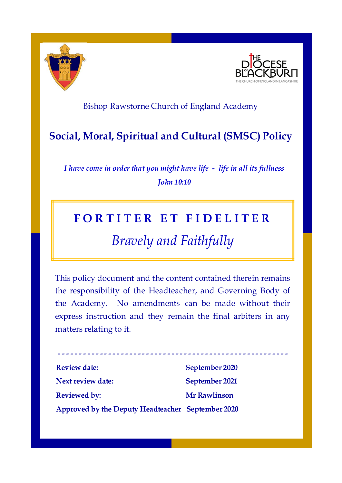



### Bishop Rawstorne Church of England Academy

## **Social, Moral, Spiritual and Cultural (SMSC) Policy**

*I have come in order that you might have life - life in all its fullness John 10:10*

## **F O R T I T E R E T F I D E L I T E R**

# *Bravely and Faithfully*

This policy document and the content contained therein remains the responsibility of the Headteacher, and Governing Body of the Academy. No amendments can be made without their express instruction and they remain the final arbiters in any matters relating to it.

**- - - - - - - - - - - - - - - - - - - - - - - - - - - - - - - - - - - - - - - - - - - - - - - - - - - - - - -**

| <b>Review date:</b>                               | September 2020      |
|---------------------------------------------------|---------------------|
| Next review date:                                 | September 2021      |
| <b>Reviewed by:</b>                               | <b>Mr Rawlinson</b> |
| Approved by the Deputy Headteacher September 2020 |                     |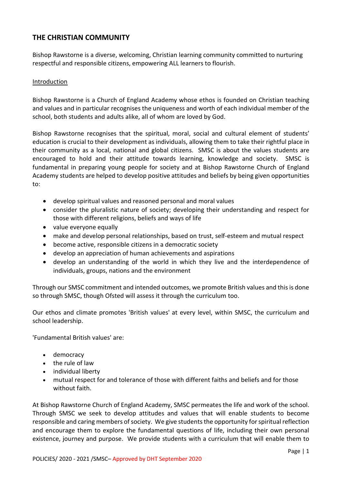#### **THE CHRISTIAN COMMUNITY**

Bishop Rawstorne is a diverse, welcoming, Christian learning community committed to nurturing respectful and responsible citizens, empowering ALL learners to flourish.

#### Introduction

Bishop Rawstorne is a Church of England Academy whose ethos is founded on Christian teaching and values and in particular recognises the uniqueness and worth of each individual member of the school, both students and adults alike, all of whom are loved by God.

Bishop Rawstorne recognises that the spiritual, moral, social and cultural element of students' education is crucial to their development as individuals, allowing them to take their rightful place in their community as a local, national and global citizens. SMSC is about the values students are encouraged to hold and their attitude towards learning, knowledge and society. SMSC is fundamental in preparing young people for society and at Bishop Rawstorne Church of England Academy students are helped to develop positive attitudes and beliefs by being given opportunities to:

- develop spiritual values and reasoned personal and moral values
- consider the pluralistic nature of society; developing their understanding and respect for those with different religions, beliefs and ways of life
- value everyone equally
- make and develop personal relationships, based on trust, self-esteem and mutual respect
- become active, responsible citizens in a democratic society
- develop an appreciation of human achievements and aspirations
- develop an understanding of the world in which they live and the interdependence of individuals, groups, nations and the environment

Through our SMSC commitment and intended outcomes, we promote British values and this is done so through SMSC, though Ofsted will assess it through the curriculum too.

Our ethos and climate promotes 'British values' at every level, within SMSC, the curriculum and school leadership.

'Fundamental British values' are:

- democracy
- the rule of law
- individual liberty
- mutual respect for and tolerance of those with different faiths and beliefs and for those without faith.

At Bishop Rawstorne Church of England Academy, SMSC permeates the life and work of the school. Through SMSC we seek to develop attitudes and values that will enable students to become responsible and caring members of society. We give students the opportunity for spiritual reflection and encourage them to explore the fundamental questions of life, including their own personal existence, journey and purpose. We provide students with a curriculum that will enable them to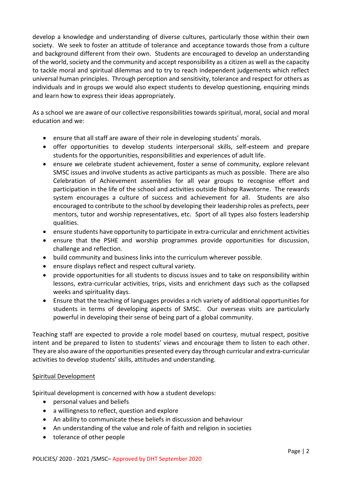develop a knowledge and understanding of diverse cultures, particularly those within their own society. We seek to foster an attitude of tolerance and acceptance towards those from a culture and background different from their own. Students are encouraged to develop an understanding of the world, society and the community and accept responsibility as a citizen as well as the capacity to tackle moral and spiritual dilemmas and to try to reach independent judgements which reflect universal human principles. Through perception and sensitivity, tolerance and respect for others as individuals and in groups we would also expect students to develop questioning, enquiring minds and learn how to express their ideas appropriately.

As a school we are aware of our collective responsibilities towards spiritual, moral, social and moral education and we:

- ensure that all staff are aware of their role in developing students' morals.
- offer opportunities to develop students interpersonal skills, self-esteem and prepare students for the opportunities, responsibilities and experiences of adult life.
- ensure we celebrate student achievement, foster a sense of community, explore relevant SMSC issues and involve students as active participants as much as possible. There are also Celebration of Achievement assemblies for all year groups to recognise effort and participation in the life of the school and activities outside Bishop Rawstorne. The rewards system encourages a culture of success and achievement for all. Students are also encouraged to contribute to the school by developing their leadership roles as prefects, peer mentors, tutor and worship representatives, etc. Sport of all types also fosters leadership qualities.
- ensure students have opportunity to participate in extra-curricular and enrichment activities
- ensure that the PSHE and worship programmes provide opportunities for discussion, challenge and reflection.
- build community and business links into the curriculum wherever possible.
- ensure displays reflect and respect cultural variety.
- provide opportunities for all students to discuss issues and to take on responsibility within lessons, extra-curricular activities, trips, visits and enrichment days such as the collapsed weeks and spirituality days.
- Ensure that the teaching of languages provides a rich variety of additional opportunities for students in terms of developing aspects of SMSC. Our overseas visits are particularly powerful in developing their sense of being part of a global community.

Teaching staff are expected to provide a role model based on courtesy, mutual respect, positive intent and be prepared to listen to students' views and encourage them to listen to each other. They are also aware of the opportunities presented every day through curricular and extra-curricular activities to develop students' skills, attitudes and understanding.

#### Spiritual Development

Spiritual development is concerned with how a student develops:

- personal values and beliefs
- a willingness to reflect, question and explore
- An ability to communicate these beliefs in discussion and behaviour
- An understanding of the value and role of faith and religion in societies
- tolerance of other people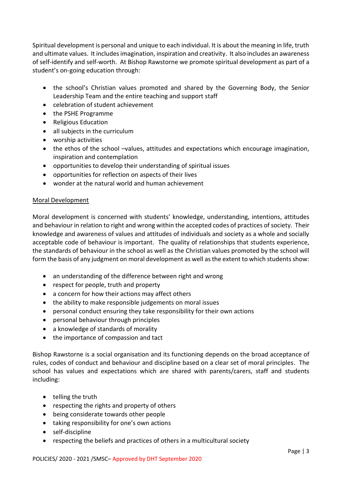Spiritual development is personal and unique to each individual. It is about the meaning in life, truth and ultimate values. It includes imagination, inspiration and creativity. It also includes an awareness of self-identify and self-worth. At Bishop Rawstorne we promote spiritual development as part of a student's on-going education through:

- the school's Christian values promoted and shared by the Governing Body, the Senior Leadership Team and the entire teaching and support staff
- celebration of student achievement
- the PSHE Programme
- Religious Education
- all subjects in the curriculum
- worship activities
- the ethos of the school –values, attitudes and expectations which encourage imagination, inspiration and contemplation
- opportunities to develop their understanding of spiritual issues
- opportunities for reflection on aspects of their lives
- wonder at the natural world and human achievement

#### Moral Development

Moral development is concerned with students' knowledge, understanding, intentions, attitudes and behaviour in relation to right and wrong within the accepted codes of practices of society. Their knowledge and awareness of values and attitudes of individuals and society as a whole and socially acceptable code of behaviour is important. The quality of relationships that students experience, the standards of behaviour in the school as well as the Christian values promoted by the school will form the basis of any judgment on moral development as well as the extent to which students show:

- an understanding of the difference between right and wrong
- respect for people, truth and property
- a concern for how their actions may affect others
- the ability to make responsible judgements on moral issues
- personal conduct ensuring they take responsibility for their own actions
- personal behaviour through principles
- a knowledge of standards of morality
- the importance of compassion and tact

Bishop Rawstorne is a social organisation and its functioning depends on the broad acceptance of rules, codes of conduct and behaviour and discipline based on a clear set of moral principles. The school has values and expectations which are shared with parents/carers, staff and students including:

- telling the truth
- respecting the rights and property of others
- being considerate towards other people
- taking responsibility for one's own actions
- self-discipline
- respecting the beliefs and practices of others in a multicultural society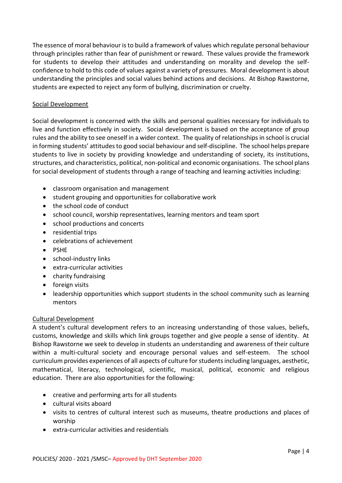The essence of moral behaviour is to build a framework of values which regulate personal behaviour through principles rather than fear of punishment or reward. These values provide the framework for students to develop their attitudes and understanding on morality and develop the selfconfidence to hold to this code of values against a variety of pressures. Moral development is about understanding the principles and social values behind actions and decisions. At Bishop Rawstorne, students are expected to reject any form of bullying, discrimination or cruelty.

#### Social Development

Social development is concerned with the skills and personal qualities necessary for individuals to live and function effectively in society. Social development is based on the acceptance of group rules and the ability to see oneself in a wider context. The quality of relationships in school is crucial in forming students' attitudes to good social behaviour and self-discipline. The school helps prepare students to live in society by providing knowledge and understanding of society, its institutions, structures, and characteristics, political, non-political and economic organisations. The school plans for social development of students through a range of teaching and learning activities including:

- classroom organisation and management
- student grouping and opportunities for collaborative work
- the school code of conduct
- school council, worship representatives, learning mentors and team sport
- school productions and concerts
- residential trips
- celebrations of achievement
- PSHF
- school-industry links
- extra-curricular activities
- charity fundraising
- **•** foreign visits
- leadership opportunities which support students in the school community such as learning mentors

#### Cultural Development

A student's cultural development refers to an increasing understanding of those values, beliefs, customs, knowledge and skills which link groups together and give people a sense of identity. At Bishop Rawstorne we seek to develop in students an understanding and awareness of their culture within a multi-cultural society and encourage personal values and self-esteem. The school curriculum provides experiences of all aspects of culture for students including languages, aesthetic, mathematical, literacy, technological, scientific, musical, political, economic and religious education. There are also opportunities for the following:

- creative and performing arts for all students
- cultural visits aboard
- visits to centres of cultural interest such as museums, theatre productions and places of worship
- extra-curricular activities and residentials